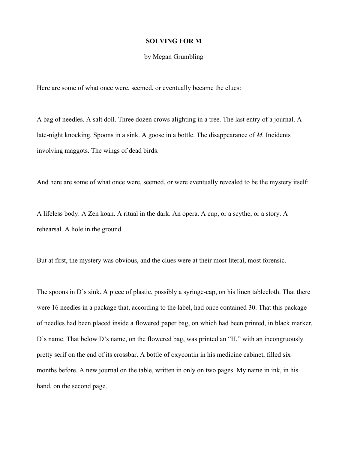## **SOLVING FOR M**

## by Megan Grumbling

Here are some of what once were, seemed, or eventually became the clues:

A bag of needles. A salt doll. Three dozen crows alighting in a tree. The last entry of a journal. A late-night knocking. Spoons in a sink. A goose in a bottle. The disappearance of *M.* Incidents involving maggots. The wings of dead birds.

And here are some of what once were, seemed, or were eventually revealed to be the mystery itself:

A lifeless body. A Zen koan. A ritual in the dark. An opera. A cup, or a scythe, or a story. A rehearsal. A hole in the ground.

But at first, the mystery was obvious, and the clues were at their most literal, most forensic.

The spoons in D's sink. A piece of plastic, possibly a syringe-cap, on his linen tablecloth. That there were 16 needles in a package that, according to the label, had once contained 30. That this package of needles had been placed inside a flowered paper bag, on which had been printed, in black marker, D's name. That below D's name, on the flowered bag, was printed an "H," with an incongruously pretty serif on the end of its crossbar. A bottle of oxycontin in his medicine cabinet, filled six months before. A new journal on the table, written in only on two pages. My name in ink, in his hand, on the second page.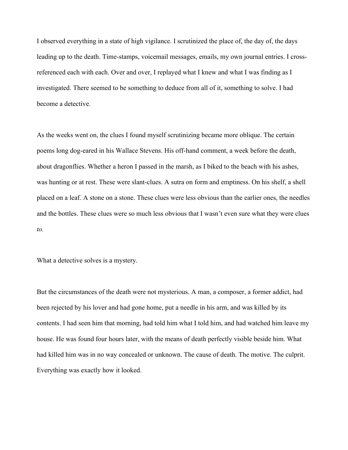I observed everything in a state of high vigilance. I scrutinized the place of, the day of, the days leading up to the death. Time-stamps, voicemail messages, emails, my own journal entries. I crossreferenced each with each. Over and over, I replayed what I knew and what I was finding as I investigated. There seemed to be something to deduce from all of it, something to solve. I had become a detective.

As the weeks went on, the clues I found myself scrutinizing became more oblique. The certain poems long dog-eared in his Wallace Stevens. His off-hand comment, a week before the death, about dragonflies. Whether a heron I passed in the marsh, as I biked to the beach with his ashes, was hunting or at rest. These were slant-clues. A sutra on form and emptiness. On his shelf, a shell placed on a leaf. A stone on a stone. These clues were less obvious than the earlier ones, the needles and the bottles. These clues were so much less obvious that I wasn't even sure what they were clues *to.*

What a detective solves is a mystery.

But the circumstances of the death were not mysterious. A man, a composer, a former addict, had been rejected by his lover and had gone home, put a needle in his arm, and was killed by its contents. I had seen him that morning, had told him what I told him, and had watched him leave my house. He was found four hours later, with the means of death perfectly visible beside him. What had killed him was in no way concealed or unknown. The cause of death. The motive. The culprit. Everything was exactly how it looked.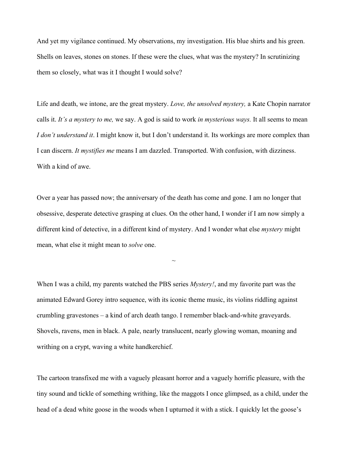And yet my vigilance continued. My observations, my investigation. His blue shirts and his green. Shells on leaves, stones on stones. If these were the clues, what was the mystery? In scrutinizing them so closely, what was it I thought I would solve?

Life and death, we intone, are the great mystery. *Love, the unsolved mystery,* a Kate Chopin narrator calls it. *It's a mystery to me,* we say. A god is said to work *in mysterious ways.* It all seems to mean *I don't understand it*. I might know it, but I don't understand it. Its workings are more complex than I can discern. *It mystifies me* means I am dazzled. Transported. With confusion, with dizziness. With a kind of awe.

Over a year has passed now; the anniversary of the death has come and gone. I am no longer that obsessive, desperate detective grasping at clues. On the other hand, I wonder if I am now simply a different kind of detective, in a different kind of mystery. And I wonder what else *mystery* might mean, what else it might mean to *solve* one.

 $\sim$ 

When I was a child, my parents watched the PBS series *Mystery!*, and my favorite part was the animated Edward Gorey intro sequence, with its iconic theme music, its violins riddling against crumbling gravestones – a kind of arch death tango. I remember black-and-white graveyards. Shovels, ravens, men in black. A pale, nearly translucent, nearly glowing woman, moaning and writhing on a crypt, waving a white handkerchief.

The cartoon transfixed me with a vaguely pleasant horror and a vaguely horrific pleasure, with the tiny sound and tickle of something writhing, like the maggots I once glimpsed, as a child, under the head of a dead white goose in the woods when I upturned it with a stick. I quickly let the goose's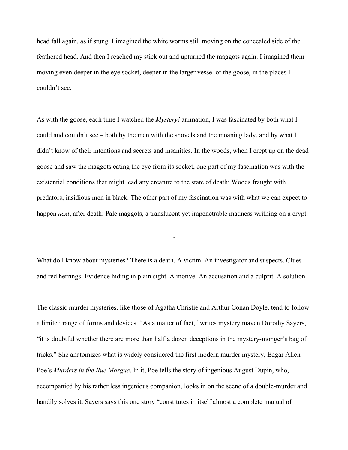head fall again, as if stung. I imagined the white worms still moving on the concealed side of the feathered head. And then I reached my stick out and upturned the maggots again. I imagined them moving even deeper in the eye socket, deeper in the larger vessel of the goose, in the places I couldn't see.

As with the goose, each time I watched the *Mystery!* animation, I was fascinated by both what I could and couldn't see – both by the men with the shovels and the moaning lady, and by what I didn't know of their intentions and secrets and insanities. In the woods, when I crept up on the dead goose and saw the maggots eating the eye from its socket, one part of my fascination was with the existential conditions that might lead any creature to the state of death: Woods fraught with predators; insidious men in black. The other part of my fascination was with what we can expect to happen *next*, after death: Pale maggots, a translucent yet impenetrable madness writhing on a crypt.

What do I know about mysteries? There is a death. A victim. An investigator and suspects. Clues and red herrings. Evidence hiding in plain sight. A motive. An accusation and a culprit. A solution.

 $\sim$ 

The classic murder mysteries, like those of Agatha Christie and Arthur Conan Doyle, tend to follow a limited range of forms and devices. "As a matter of fact," writes mystery maven Dorothy Sayers, "it is doubtful whether there are more than half a dozen deceptions in the mystery-monger's bag of tricks." She anatomizes what is widely considered the first modern murder mystery, Edgar Allen Poe's *Murders in the Rue Morgue*. In it, Poe tells the story of ingenious August Dupin, who, accompanied by his rather less ingenious companion, looks in on the scene of a double-murder and handily solves it. Sayers says this one story "constitutes in itself almost a complete manual of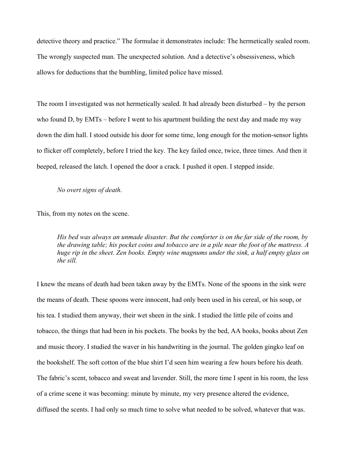detective theory and practice." The formulae it demonstrates include: The hermetically sealed room. The wrongly suspected man. The unexpected solution. And a detective's obsessiveness, which allows for deductions that the bumbling, limited police have missed.

The room I investigated was not hermetically sealed. It had already been disturbed – by the person who found D, by EMTs – before I went to his apartment building the next day and made my way down the dim hall. I stood outside his door for some time, long enough for the motion-sensor lights to flicker off completely, before I tried the key. The key failed once, twice, three times. And then it beeped, released the latch. I opened the door a crack. I pushed it open. I stepped inside.

## *No overt signs of death.*

This, from my notes on the scene.

*His bed was always an unmade disaster. But the comforter is on the far side of the room, by the drawing table; his pocket coins and tobacco are in a pile near the foot of the mattress. A huge rip in the sheet. Zen books. Empty wine magnums under the sink, a half empty glass on the sill.*

I knew the means of death had been taken away by the EMTs. None of the spoons in the sink were the means of death. These spoons were innocent, had only been used in his cereal, or his soup, or his tea. I studied them anyway, their wet sheen in the sink. I studied the little pile of coins and tobacco, the things that had been in his pockets. The books by the bed, AA books, books about Zen and music theory. I studied the waver in his handwriting in the journal. The golden gingko leaf on the bookshelf. The soft cotton of the blue shirt I'd seen him wearing a few hours before his death. The fabric's scent, tobacco and sweat and lavender. Still, the more time I spent in his room, the less of a crime scene it was becoming: minute by minute, my very presence altered the evidence, diffused the scents. I had only so much time to solve what needed to be solved, whatever that was.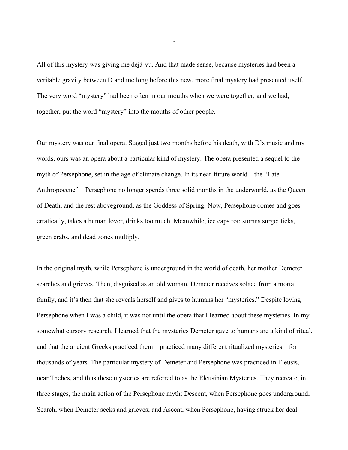All of this mystery was giving me déjà-vu. And that made sense, because mysteries had been a veritable gravity between D and me long before this new, more final mystery had presented itself. The very word "mystery" had been often in our mouths when we were together, and we had, together, put the word "mystery" into the mouths of other people.

Our mystery was our final opera. Staged just two months before his death, with D's music and my words, ours was an opera about a particular kind of mystery. The opera presented a sequel to the myth of Persephone, set in the age of climate change. In its near-future world – the "Late Anthropocene" – Persephone no longer spends three solid months in the underworld, as the Queen of Death, and the rest aboveground, as the Goddess of Spring. Now, Persephone comes and goes erratically, takes a human lover, drinks too much. Meanwhile, ice caps rot; storms surge; ticks, green crabs, and dead zones multiply.

In the original myth, while Persephone is underground in the world of death, her mother Demeter searches and grieves. Then, disguised as an old woman, Demeter receives solace from a mortal family, and it's then that she reveals herself and gives to humans her "mysteries." Despite loving Persephone when I was a child, it was not until the opera that I learned about these mysteries. In my somewhat cursory research, I learned that the mysteries Demeter gave to humans are a kind of ritual, and that the ancient Greeks practiced them – practiced many different ritualized mysteries – for thousands of years. The particular mystery of Demeter and Persephone was practiced in Eleusis, near Thebes, and thus these mysteries are referred to as the Eleusinian Mysteries. They recreate, in three stages, the main action of the Persephone myth: Descent, when Persephone goes underground; Search, when Demeter seeks and grieves; and Ascent, when Persephone, having struck her deal

 $\sim$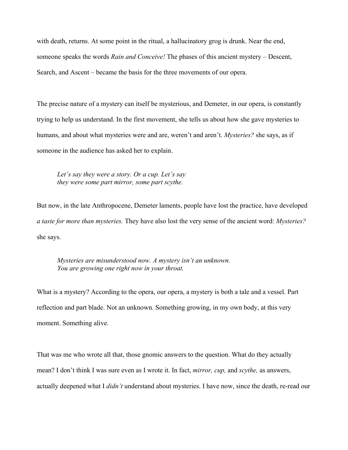with death, returns. At some point in the ritual, a hallucinatory grog is drunk. Near the end, someone speaks the words *Rain and Conceive!* The phases of this ancient mystery – Descent, Search, and Ascent – became the basis for the three movements of our opera.

The precise nature of a mystery can itself be mysterious, and Demeter, in our opera, is constantly trying to help us understand. In the first movement, she tells us about how she gave mysteries to humans, and about what mysteries were and are, weren't and aren't. *Mysteries?* she says, as if someone in the audience has asked her to explain.

*Let's say they were a story. Or a cup. Let's say they were some part mirror, some part scythe.*

But now, in the late Anthropocene, Demeter laments, people have lost the practice, have developed *a taste for more than mysteries.* They have also lost the very sense of the ancient word: *Mysteries?* she says.

*Mysteries are misunderstood now. A mystery isn't an unknown. You are growing one right now in your throat.*

What is a mystery? According to the opera, our opera, a mystery is both a tale and a vessel. Part reflection and part blade. Not an unknown. Something growing, in my own body, at this very moment. Something alive.

That was me who wrote all that, those gnomic answers to the question. What do they actually mean? I don't think I was sure even as I wrote it. In fact, *mirror, cup,* and *scythe,* as answers, actually deepened what I *didn't* understand about mysteries. I have now, since the death, re-read our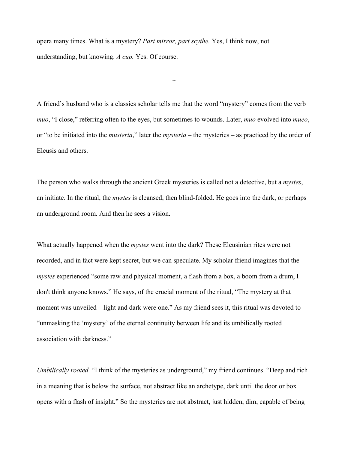opera many times. What is a mystery? *Part mirror, part scythe.* Yes, I think now, not understanding, but knowing. *A cup.* Yes. Of course.

A friend's husband who is a classics scholar tells me that the word "mystery" comes from the verb *muo*, "I close," referring often to the eyes, but sometimes to wounds. Later, *muo* evolved into *mueo*, or "to be initiated into the *musteria*," later the *mysteria* – the mysteries – as practiced by the order of Eleusis and others.

 $\sim$ 

The person who walks through the ancient Greek mysteries is called not a detective, but a *mystes*, an initiate. In the ritual, the *mystes* is cleansed, then blind-folded. He goes into the dark, or perhaps an underground room. And then he sees a vision.

What actually happened when the *mystes* went into the dark? These Eleusinian rites were not recorded, and in fact were kept secret, but we can speculate. My scholar friend imagines that the *mystes* experienced "some raw and physical moment, a flash from a box, a boom from a drum, I don't think anyone knows." He says, of the crucial moment of the ritual, "The mystery at that moment was unveiled – light and dark were one." As my friend sees it, this ritual was devoted to "unmasking the 'mystery' of the eternal continuity between life and its umbilically rooted association with darkness."

*Umbilically rooted.* "I think of the mysteries as underground," my friend continues. "Deep and rich in a meaning that is below the surface, not abstract like an archetype, dark until the door or box opens with a flash of insight." So the mysteries are not abstract, just hidden, dim, capable of being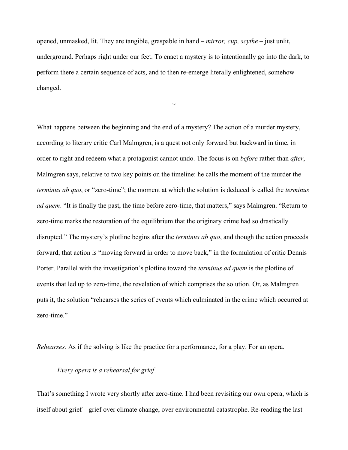opened, unmasked, lit. They are tangible, graspable in hand – *mirror, cup, scythe* – just unlit, underground. Perhaps right under our feet. To enact a mystery is to intentionally go into the dark, to perform there a certain sequence of acts, and to then re-emerge literally enlightened, somehow changed.

 $\sim$ 

What happens between the beginning and the end of a mystery? The action of a murder mystery, according to literary critic Carl Malmgren, is a quest not only forward but backward in time, in order to right and redeem what a protagonist cannot undo. The focus is on *before* rather than *after*, Malmgren says, relative to two key points on the timeline: he calls the moment of the murder the *terminus ab quo*, or "zero-time"; the moment at which the solution is deduced is called the *terminus ad quem*. "It is finally the past, the time before zero-time, that matters," says Malmgren. "Return to zero-time marks the restoration of the equilibrium that the originary crime had so drastically disrupted." The mystery's plotline begins after the *terminus ab quo*, and though the action proceeds forward, that action is "moving forward in order to move back," in the formulation of critic Dennis Porter. Parallel with the investigation's plotline toward the *terminus ad quem* is the plotline of events that led up to zero-time, the revelation of which comprises the solution. Or, as Malmgren puts it, the solution "rehearses the series of events which culminated in the crime which occurred at zero-time."

*Rehearses.* As if the solving is like the practice for a performance, for a play. For an opera.

## *Every opera is a rehearsal for grief*.

That's something I wrote very shortly after zero-time. I had been revisiting our own opera, which is itself about grief – grief over climate change, over environmental catastrophe. Re-reading the last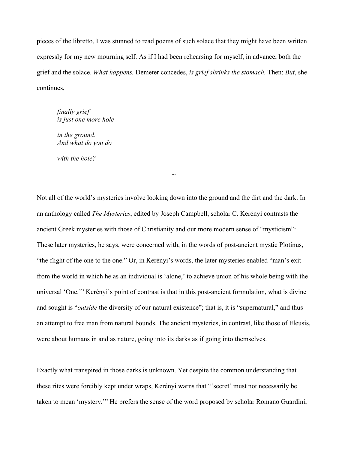pieces of the libretto, I was stunned to read poems of such solace that they might have been written expressly for my new mourning self. As if I had been rehearsing for myself, in advance, both the grief and the solace. *What happens,* Demeter concedes, *is grief shrinks the stomach.* Then: *But*, she continues,

*finally grief is just one more hole*

*in the ground. And what do you do*

*with the hole?*

Not all of the world's mysteries involve looking down into the ground and the dirt and the dark. In an anthology called *The Mysteries*, edited by Joseph Campbell, scholar C. Kerényi contrasts the ancient Greek mysteries with those of Christianity and our more modern sense of "mysticism": These later mysteries, he says, were concerned with, in the words of post-ancient mystic Plotinus, "the flight of the one to the one." Or, in Kerényi's words, the later mysteries enabled "man's exit from the world in which he as an individual is 'alone,' to achieve union of his whole being with the universal 'One.'" Kerényi's point of contrast is that in this post-ancient formulation, what is divine and sought is "*outside* the diversity of our natural existence"; that is, it is "supernatural," and thus an attempt to free man from natural bounds. The ancient mysteries, in contrast, like those of Eleusis, were about humans in and as nature, going into its darks as if going into themselves.

 $\sim$ 

Exactly what transpired in those darks is unknown. Yet despite the common understanding that these rites were forcibly kept under wraps, Kerényi warns that "'secret' must not necessarily be taken to mean 'mystery.'" He prefers the sense of the word proposed by scholar Romano Guardini,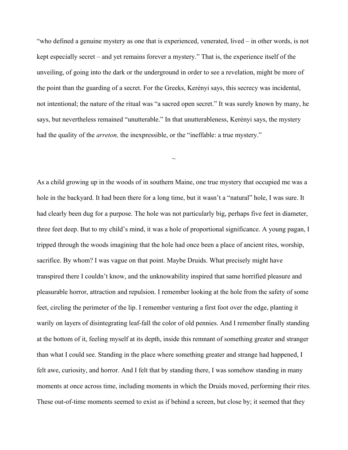"who defined a genuine mystery as one that is experienced, venerated, lived – in other words, is not kept especially secret – and yet remains forever a mystery." That is, the experience itself of the unveiling, of going into the dark or the underground in order to see a revelation, might be more of the point than the guarding of a secret. For the Greeks, Kerényi says, this secrecy was incidental, not intentional; the nature of the ritual was "a sacred open secret." It was surely known by many, he says, but nevertheless remained "unutterable." In that unutterableness, Kerényi says, the mystery had the quality of the *arreton*, the inexpressible, or the "ineffable: a true mystery."

 $\sim$ 

As a child growing up in the woods of in southern Maine, one true mystery that occupied me was a hole in the backyard. It had been there for a long time, but it wasn't a "natural" hole, I was sure. It had clearly been dug for a purpose. The hole was not particularly big, perhaps five feet in diameter, three feet deep. But to my child's mind, it was a hole of proportional significance. A young pagan, I tripped through the woods imagining that the hole had once been a place of ancient rites, worship, sacrifice. By whom? I was vague on that point. Maybe Druids. What precisely might have transpired there I couldn't know, and the unknowability inspired that same horrified pleasure and pleasurable horror, attraction and repulsion. I remember looking at the hole from the safety of some feet, circling the perimeter of the lip. I remember venturing a first foot over the edge, planting it warily on layers of disintegrating leaf-fall the color of old pennies. And I remember finally standing at the bottom of it, feeling myself at its depth, inside this remnant of something greater and stranger than what I could see. Standing in the place where something greater and strange had happened, I felt awe, curiosity, and horror. And I felt that by standing there, I was somehow standing in many moments at once across time, including moments in which the Druids moved, performing their rites. These out-of-time moments seemed to exist as if behind a screen, but close by; it seemed that they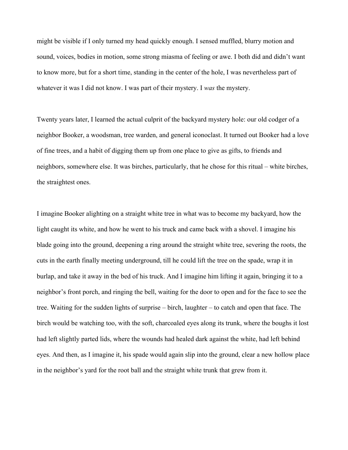might be visible if I only turned my head quickly enough. I sensed muffled, blurry motion and sound, voices, bodies in motion, some strong miasma of feeling or awe. I both did and didn't want to know more, but for a short time, standing in the center of the hole, I was nevertheless part of whatever it was I did not know. I was part of their mystery. I *was* the mystery.

Twenty years later, I learned the actual culprit of the backyard mystery hole: our old codger of a neighbor Booker, a woodsman, tree warden, and general iconoclast. It turned out Booker had a love of fine trees, and a habit of digging them up from one place to give as gifts, to friends and neighbors, somewhere else. It was birches, particularly, that he chose for this ritual – white birches, the straightest ones.

I imagine Booker alighting on a straight white tree in what was to become my backyard, how the light caught its white, and how he went to his truck and came back with a shovel. I imagine his blade going into the ground, deepening a ring around the straight white tree, severing the roots, the cuts in the earth finally meeting underground, till he could lift the tree on the spade, wrap it in burlap, and take it away in the bed of his truck. And I imagine him lifting it again, bringing it to a neighbor's front porch, and ringing the bell, waiting for the door to open and for the face to see the tree. Waiting for the sudden lights of surprise – birch, laughter – to catch and open that face. The birch would be watching too, with the soft, charcoaled eyes along its trunk, where the boughs it lost had left slightly parted lids, where the wounds had healed dark against the white, had left behind eyes. And then, as I imagine it, his spade would again slip into the ground, clear a new hollow place in the neighbor's yard for the root ball and the straight white trunk that grew from it.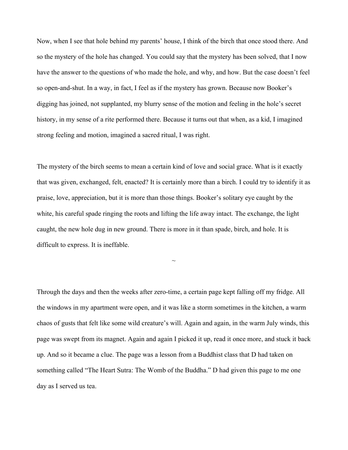Now, when I see that hole behind my parents' house, I think of the birch that once stood there. And so the mystery of the hole has changed. You could say that the mystery has been solved, that I now have the answer to the questions of who made the hole, and why, and how. But the case doesn't feel so open-and-shut. In a way, in fact, I feel as if the mystery has grown. Because now Booker's digging has joined, not supplanted, my blurry sense of the motion and feeling in the hole's secret history, in my sense of a rite performed there. Because it turns out that when, as a kid, I imagined strong feeling and motion, imagined a sacred ritual, I was right.

The mystery of the birch seems to mean a certain kind of love and social grace. What is it exactly that was given, exchanged, felt, enacted? It is certainly more than a birch. I could try to identify it as praise, love, appreciation, but it is more than those things. Booker's solitary eye caught by the white, his careful spade ringing the roots and lifting the life away intact. The exchange, the light caught, the new hole dug in new ground. There is more in it than spade, birch, and hole. It is difficult to express. It is ineffable.

 $\sim$ 

Through the days and then the weeks after zero-time, a certain page kept falling off my fridge. All the windows in my apartment were open, and it was like a storm sometimes in the kitchen, a warm chaos of gusts that felt like some wild creature's will. Again and again, in the warm July winds, this page was swept from its magnet. Again and again I picked it up, read it once more, and stuck it back up. And so it became a clue. The page was a lesson from a Buddhist class that D had taken on something called "The Heart Sutra: The Womb of the Buddha." D had given this page to me one day as I served us tea.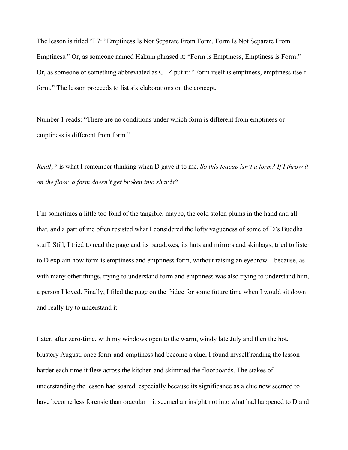The lesson is titled "I 7: "Emptiness Is Not Separate From Form, Form Is Not Separate From Emptiness." Or, as someone named Hakuin phrased it: "Form is Emptiness, Emptiness is Form." Or, as someone or something abbreviated as GTZ put it: "Form itself is emptiness, emptiness itself form." The lesson proceeds to list six elaborations on the concept.

Number 1 reads: "There are no conditions under which form is different from emptiness or emptiness is different from form."

*Really?* is what I remember thinking when D gave it to me. *So this teacup isn't a form? If I throw it on the floor, a form doesn't get broken into shards?* 

I'm sometimes a little too fond of the tangible, maybe, the cold stolen plums in the hand and all that, and a part of me often resisted what I considered the lofty vagueness of some of D's Buddha stuff. Still, I tried to read the page and its paradoxes, its huts and mirrors and skinbags, tried to listen to D explain how form is emptiness and emptiness form, without raising an eyebrow – because, as with many other things, trying to understand form and emptiness was also trying to understand him, a person I loved. Finally, I filed the page on the fridge for some future time when I would sit down and really try to understand it.

Later, after zero-time, with my windows open to the warm, windy late July and then the hot, blustery August, once form-and-emptiness had become a clue, I found myself reading the lesson harder each time it flew across the kitchen and skimmed the floorboards. The stakes of understanding the lesson had soared, especially because its significance as a clue now seemed to have become less forensic than oracular – it seemed an insight not into what had happened to D and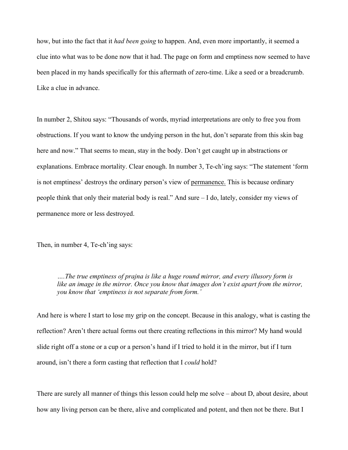how, but into the fact that it *had been going* to happen. And, even more importantly, it seemed a clue into what was to be done now that it had. The page on form and emptiness now seemed to have been placed in my hands specifically for this aftermath of zero-time. Like a seed or a breadcrumb. Like a clue in advance.

In number 2, Shitou says: "Thousands of words, myriad interpretations are only to free you from obstructions. If you want to know the undying person in the hut, don't separate from this skin bag here and now." That seems to mean, stay in the body. Don't get caught up in abstractions or explanations. Embrace mortality. Clear enough. In number 3, Te-ch'ing says: "The statement 'form is not emptiness' destroys the ordinary person's view of permanence. This is because ordinary people think that only their material body is real." And sure – I do, lately, consider my views of permanence more or less destroyed.

Then, in number 4, Te-ch'ing says:

*….The true emptiness of prajna is like a huge round mirror, and every illusory form is like an image in the mirror. Once you know that images don't exist apart from the mirror, you know that 'emptiness is not separate from form.'*

And here is where I start to lose my grip on the concept. Because in this analogy, what is casting the reflection? Aren't there actual forms out there creating reflections in this mirror? My hand would slide right off a stone or a cup or a person's hand if I tried to hold it in the mirror, but if I turn around, isn't there a form casting that reflection that I *could* hold?

There are surely all manner of things this lesson could help me solve – about D, about desire, about how any living person can be there, alive and complicated and potent, and then not be there. But I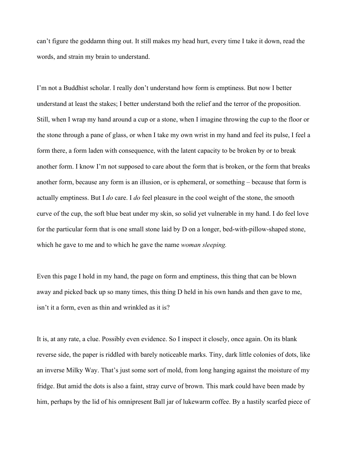can't figure the goddamn thing out. It still makes my head hurt, every time I take it down, read the words, and strain my brain to understand.

I'm not a Buddhist scholar. I really don't understand how form is emptiness. But now I better understand at least the stakes; I better understand both the relief and the terror of the proposition. Still, when I wrap my hand around a cup or a stone, when I imagine throwing the cup to the floor or the stone through a pane of glass, or when I take my own wrist in my hand and feel its pulse, I feel a form there, a form laden with consequence, with the latent capacity to be broken by or to break another form. I know I'm not supposed to care about the form that is broken, or the form that breaks another form, because any form is an illusion, or is ephemeral, or something – because that form is actually emptiness. But I *do* care. I *do* feel pleasure in the cool weight of the stone, the smooth curve of the cup, the soft blue beat under my skin, so solid yet vulnerable in my hand. I do feel love for the particular form that is one small stone laid by D on a longer, bed-with-pillow-shaped stone, which he gave to me and to which he gave the name *woman sleeping.*

Even this page I hold in my hand, the page on form and emptiness, this thing that can be blown away and picked back up so many times, this thing D held in his own hands and then gave to me, isn't it a form, even as thin and wrinkled as it is?

It is, at any rate, a clue. Possibly even evidence. So I inspect it closely, once again. On its blank reverse side, the paper is riddled with barely noticeable marks. Tiny, dark little colonies of dots, like an inverse Milky Way. That's just some sort of mold, from long hanging against the moisture of my fridge. But amid the dots is also a faint, stray curve of brown. This mark could have been made by him, perhaps by the lid of his omnipresent Ball jar of lukewarm coffee. By a hastily scarfed piece of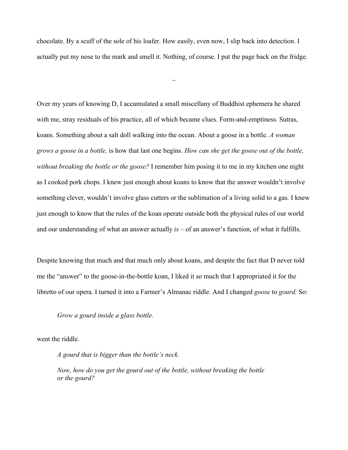chocolate. By a scuff of the sole of his loafer. How easily, even now, I slip back into detection. I actually put my nose to the mark and smell it. Nothing, of course. I put the page back on the fridge.

 $\sim$ 

Over my years of knowing D, I accumulated a small miscellany of Buddhist ephemera he shared with me, stray residuals of his practice, all of which became clues. Form-and-emptiness. Sutras, koans. Something about a salt doll walking into the ocean. About a goose in a bottle. *A woman grows a goose in a bottle,* is how that last one begins. *How can she get the goose out of the bottle, without breaking the bottle or the goose?* I remember him posing it to me in my kitchen one night as I cooked pork chops. I knew just enough about koans to know that the answer wouldn't involve something clever, wouldn't involve glass cutters or the sublimation of a living solid to a gas*.* I knew just enough to know that the rules of the koan operate outside both the physical rules of our world and our understanding of what an answer actually *is* – of an answer's function, of what it fulfills.

Despite knowing that much and that much only about koans, and despite the fact that D never told me the "answer" to the goose-in-the-bottle koan, I liked it so much that I appropriated it for the libretto of our opera. I turned it into a Farmer's Almanac riddle. And I changed *goose* to *gourd.* So:

*Grow a gourd inside a glass bottle.*

went the riddle.

*A gourd that is bigger than the bottle's neck.* 

*Now, how do you get the gourd out of the bottle, without breaking the bottle or the gourd?*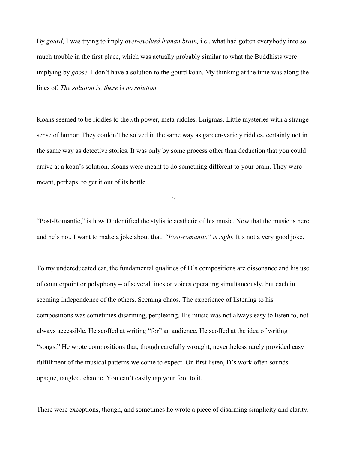By *gourd,* I was trying to imply *over-evolved human brain,* i.e., what had gotten everybody into so much trouble in the first place, which was actually probably similar to what the Buddhists were implying by *goose.* I don't have a solution to the gourd koan. My thinking at the time was along the lines of, *The solution is, there* is *no solution.* 

Koans seemed to be riddles to the *n*th power, meta-riddles. Enigmas. Little mysteries with a strange sense of humor. They couldn't be solved in the same way as garden-variety riddles, certainly not in the same way as detective stories. It was only by some process other than deduction that you could arrive at a koan's solution. Koans were meant to do something different to your brain. They were meant, perhaps, to get it out of its bottle.

"Post-Romantic," is how D identified the stylistic aesthetic of his music. Now that the music is here and he's not, I want to make a joke about that. *"Post-romantic" is right.* It's not a very good joke.

 $\sim$ 

To my undereducated ear, the fundamental qualities of D's compositions are dissonance and his use of counterpoint or polyphony – of several lines or voices operating simultaneously, but each in seeming independence of the others. Seeming chaos. The experience of listening to his compositions was sometimes disarming, perplexing. His music was not always easy to listen to, not always accessible. He scoffed at writing "for" an audience. He scoffed at the idea of writing "songs." He wrote compositions that, though carefully wrought, nevertheless rarely provided easy fulfillment of the musical patterns we come to expect. On first listen, D's work often sounds opaque, tangled, chaotic. You can't easily tap your foot to it.

There were exceptions, though, and sometimes he wrote a piece of disarming simplicity and clarity.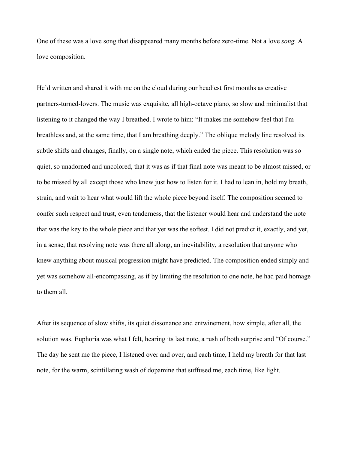One of these was a love song that disappeared many months before zero-time. Not a love *song.* A love composition.

He'd written and shared it with me on the cloud during our headiest first months as creative partners-turned-lovers. The music was exquisite, all high-octave piano, so slow and minimalist that listening to it changed the way I breathed. I wrote to him: "It makes me somehow feel that I'm breathless and, at the same time, that I am breathing deeply." The oblique melody line resolved its subtle shifts and changes, finally, on a single note, which ended the piece. This resolution was so quiet, so unadorned and uncolored, that it was as if that final note was meant to be almost missed, or to be missed by all except those who knew just how to listen for it. I had to lean in, hold my breath, strain, and wait to hear what would lift the whole piece beyond itself. The composition seemed to confer such respect and trust, even tenderness, that the listener would hear and understand the note that was the key to the whole piece and that yet was the softest. I did not predict it, exactly, and yet, in a sense, that resolving note was there all along, an inevitability, a resolution that anyone who knew anything about musical progression might have predicted. The composition ended simply and yet was somehow all-encompassing, as if by limiting the resolution to one note, he had paid homage to them all*.*

After its sequence of slow shifts, its quiet dissonance and entwinement, how simple, after all, the solution was. Euphoria was what I felt, hearing its last note, a rush of both surprise and "Of course." The day he sent me the piece, I listened over and over, and each time, I held my breath for that last note, for the warm, scintillating wash of dopamine that suffused me, each time, like light.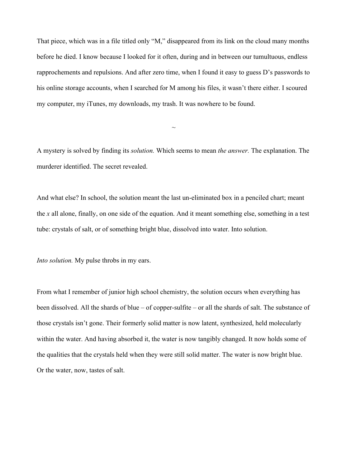That piece, which was in a file titled only "M," disappeared from its link on the cloud many months before he died. I know because I looked for it often, during and in between our tumultuous, endless rapprochements and repulsions. And after zero time, when I found it easy to guess D's passwords to his online storage accounts, when I searched for M among his files, it wasn't there either. I scoured my computer, my iTunes, my downloads, my trash. It was nowhere to be found.

A mystery is solved by finding its *solution.* Which seems to mean *the answer.* The explanation. The murderer identified. The secret revealed.

 $\sim$ 

And what else? In school, the solution meant the last un-eliminated box in a penciled chart; meant the *x* all alone, finally, on one side of the equation. And it meant something else, something in a test tube: crystals of salt, or of something bright blue, dissolved into water. Into solution.

*Into solution.* My pulse throbs in my ears.

From what I remember of junior high school chemistry, the solution occurs when everything has been dissolved. All the shards of blue – of copper-sulfite – or all the shards of salt. The substance of those crystals isn't gone. Their formerly solid matter is now latent, synthesized, held molecularly within the water. And having absorbed it, the water is now tangibly changed. It now holds some of the qualities that the crystals held when they were still solid matter. The water is now bright blue. Or the water, now, tastes of salt.